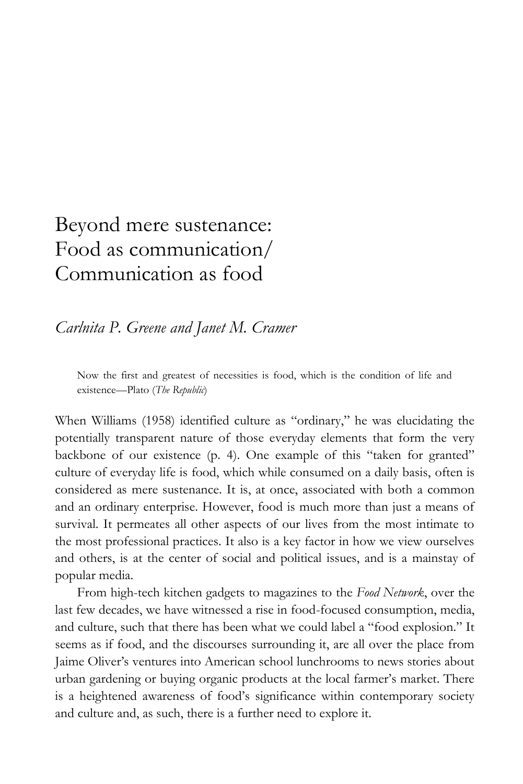# Beyond mere sustenance: Food as communication/ Communication as food

*Carlnita P. Greene and Janet M. Cramer*

Now the first and greatest of necessities is food, which is the condition of life and existence—Plato (*The Republic*)

When Williams (1958) identified culture as "ordinary," he was elucidating the potentially transparent nature of those everyday elements that form the very backbone of our existence (p. 4). One example of this "taken for granted" culture of everyday life is food, which while consumed on a daily basis, often is considered as mere sustenance. It is, at once, associated with both a common and an ordinary enterprise. However, food is much more than just a means of survival. It permeates all other aspects of our lives from the most intimate to the most professional practices. It also is a key factor in how we view ourselves and others, is at the center of social and political issues, and is a mainstay of popular media.

From high-tech kitchen gadgets to magazines to the *Food Network*, over the last few decades, we have witnessed a rise in food-focused consumption, media, and culture, such that there has been what we could label a "food explosion." It seems as if food, and the discourses surrounding it, are all over the place from Jaime Oliver's ventures into American school lunchrooms to news stories about urban gardening or buying organic products at the local farmer's market. There is a heightened awareness of food's significance within contemporary society and culture and, as such, there is a further need to explore it.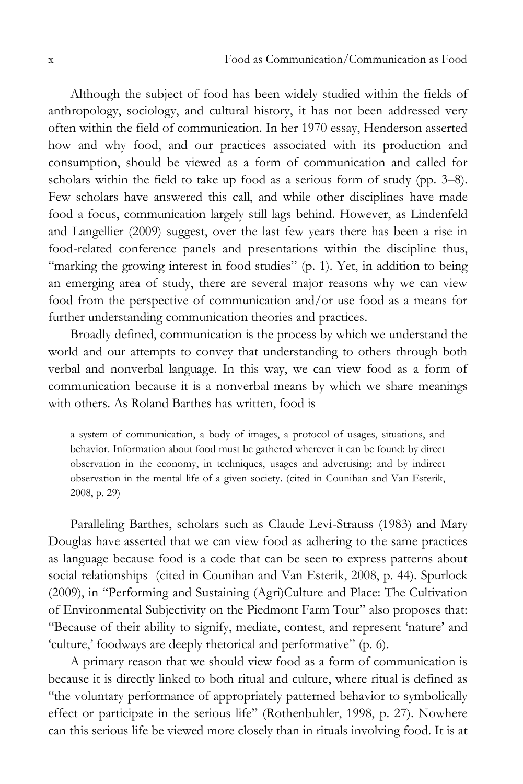Although the subject of food has been widely studied within the fields of anthropology, sociology, and cultural history, it has not been addressed very often within the field of communication. In her 1970 essay, Henderson asserted how and why food, and our practices associated with its production and consumption, should be viewed as a form of communication and called for scholars within the field to take up food as a serious form of study (pp. 3–8). Few scholars have answered this call, and while other disciplines have made food a focus, communication largely still lags behind. However, as Lindenfeld and Langellier (2009) suggest, over the last few years there has been a rise in food-related conference panels and presentations within the discipline thus, "marking the growing interest in food studies" (p. 1). Yet, in addition to being an emerging area of study, there are several major reasons why we can view food from the perspective of communication and/or use food as a means for further understanding communication theories and practices.

Broadly defined, communication is the process by which we understand the world and our attempts to convey that understanding to others through both verbal and nonverbal language. In this way, we can view food as a form of communication because it is a nonverbal means by which we share meanings with others. As Roland Barthes has written, food is

a system of communication, a body of images, a protocol of usages, situations, and behavior. Information about food must be gathered wherever it can be found: by direct observation in the economy, in techniques, usages and advertising; and by indirect observation in the mental life of a given society. (cited in Counihan and Van Esterik, 2008, p. 29)

Paralleling Barthes, scholars such as Claude Levi-Strauss (1983) and Mary Douglas have asserted that we can view food as adhering to the same practices as language because food is a code that can be seen to express patterns about social relationships (cited in Counihan and Van Esterik, 2008, p. 44). Spurlock (2009), in "Performing and Sustaining (Agri)Culture and Place: The Cultivation of Environmental Subjectivity on the Piedmont Farm Tour" also proposes that: ―Because of their ability to signify, mediate, contest, and represent ‗nature' and 'culture,' foodways are deeply rhetorical and performative'' (p. 6).

A primary reason that we should view food as a form of communication is because it is directly linked to both ritual and culture, where ritual is defined as "the voluntary performance of appropriately patterned behavior to symbolically effect or participate in the serious life" (Rothenbuhler, 1998, p. 27). Nowhere can this serious life be viewed more closely than in rituals involving food. It is at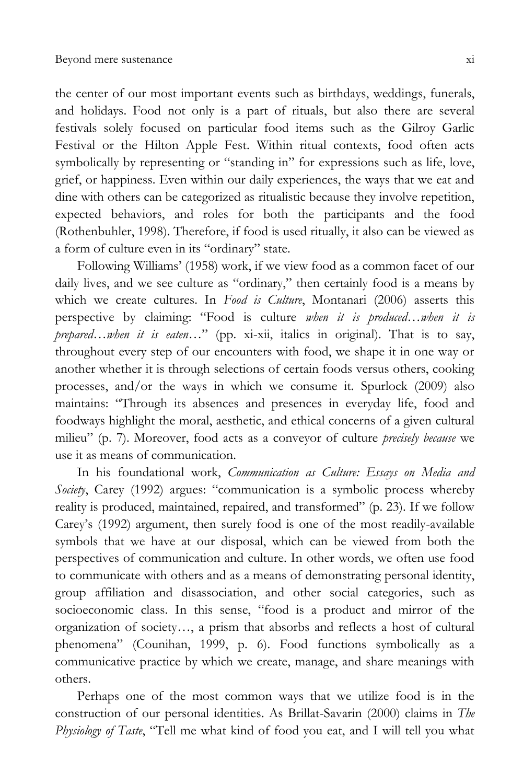the center of our most important events such as birthdays, weddings, funerals, and holidays. Food not only is a part of rituals, but also there are several festivals solely focused on particular food items such as the Gilroy Garlic Festival or the Hilton Apple Fest. Within ritual contexts, food often acts symbolically by representing or "standing in" for expressions such as life, love, grief, or happiness. Even within our daily experiences, the ways that we eat and dine with others can be categorized as ritualistic because they involve repetition, expected behaviors, and roles for both the participants and the food (Rothenbuhler, 1998). Therefore, if food is used ritually, it also can be viewed as a form of culture even in its "ordinary" state.

Following Williams' (1958) work, if we view food as a common facet of our daily lives, and we see culture as "ordinary," then certainly food is a means by which we create cultures. In *Food is Culture*, Montanari (2006) asserts this perspective by claiming: "Food is culture when it is produced...when it is *prepared*…*when it is eaten*…‖ (pp. xi-xii, italics in original). That is to say, throughout every step of our encounters with food, we shape it in one way or another whether it is through selections of certain foods versus others, cooking processes, and/or the ways in which we consume it. Spurlock (2009) also maintains: "Through its absences and presences in everyday life, food and foodways highlight the moral, aesthetic, and ethical concerns of a given cultural milieu‖ (p. 7). Moreover, food acts as a conveyor of culture *precisely because* we use it as means of communication.

In his foundational work, *Communication as Culture: Essays on Media and*  Society, Carey (1992) argues: "communication is a symbolic process whereby reality is produced, maintained, repaired, and transformed" (p. 23). If we follow Carey's (1992) argument, then surely food is one of the most readily-available symbols that we have at our disposal, which can be viewed from both the perspectives of communication and culture. In other words, we often use food to communicate with others and as a means of demonstrating personal identity, group affiliation and disassociation, and other social categories, such as socioeconomic class. In this sense, "food is a product and mirror of the organization of society…, a prism that absorbs and reflects a host of cultural phenomena‖ (Counihan, 1999, p. 6). Food functions symbolically as a communicative practice by which we create, manage, and share meanings with others.

Perhaps one of the most common ways that we utilize food is in the construction of our personal identities. As Brillat-Savarin (2000) claims in *The Physiology of Taste*, "Tell me what kind of food you eat, and I will tell you what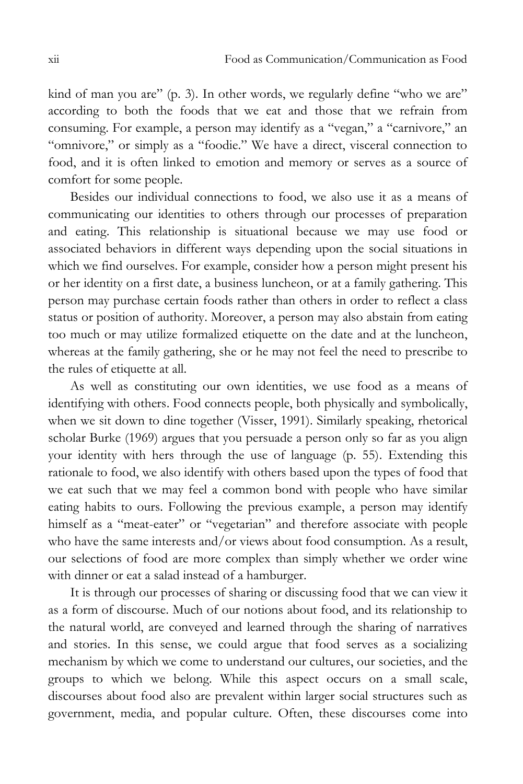kind of man you are" (p. 3). In other words, we regularly define "who we are" according to both the foods that we eat and those that we refrain from consuming. For example, a person may identify as a "vegan," a "carnivore," an "omnivore," or simply as a "foodie." We have a direct, visceral connection to food, and it is often linked to emotion and memory or serves as a source of comfort for some people.

Besides our individual connections to food, we also use it as a means of communicating our identities to others through our processes of preparation and eating. This relationship is situational because we may use food or associated behaviors in different ways depending upon the social situations in which we find ourselves. For example, consider how a person might present his or her identity on a first date, a business luncheon, or at a family gathering. This person may purchase certain foods rather than others in order to reflect a class status or position of authority. Moreover, a person may also abstain from eating too much or may utilize formalized etiquette on the date and at the luncheon, whereas at the family gathering, she or he may not feel the need to prescribe to the rules of etiquette at all.

As well as constituting our own identities, we use food as a means of identifying with others. Food connects people, both physically and symbolically, when we sit down to dine together (Visser, 1991). Similarly speaking, rhetorical scholar Burke (1969) argues that you persuade a person only so far as you align your identity with hers through the use of language (p. 55). Extending this rationale to food, we also identify with others based upon the types of food that we eat such that we may feel a common bond with people who have similar eating habits to ours. Following the previous example, a person may identify himself as a "meat-eater" or "vegetarian" and therefore associate with people who have the same interests and/or views about food consumption. As a result, our selections of food are more complex than simply whether we order wine with dinner or eat a salad instead of a hamburger.

It is through our processes of sharing or discussing food that we can view it as a form of discourse. Much of our notions about food, and its relationship to the natural world, are conveyed and learned through the sharing of narratives and stories. In this sense, we could argue that food serves as a socializing mechanism by which we come to understand our cultures, our societies, and the groups to which we belong. While this aspect occurs on a small scale, discourses about food also are prevalent within larger social structures such as government, media, and popular culture. Often, these discourses come into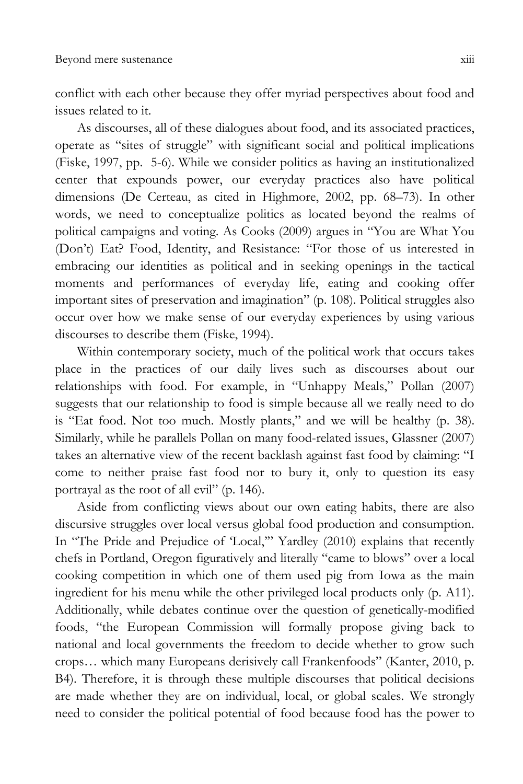conflict with each other because they offer myriad perspectives about food and issues related to it.

As discourses, all of these dialogues about food, and its associated practices, operate as "sites of struggle" with significant social and political implications (Fiske, 1997, pp. 5-6). While we consider politics as having an institutionalized center that expounds power, our everyday practices also have political dimensions (De Certeau, as cited in Highmore, 2002, pp. 68–73). In other words, we need to conceptualize politics as located beyond the realms of political campaigns and voting. As Cooks (2009) argues in "You are What You (Don't) Eat? Food, Identity, and Resistance: "For those of us interested in embracing our identities as political and in seeking openings in the tactical moments and performances of everyday life, eating and cooking offer important sites of preservation and imagination" (p. 108). Political struggles also occur over how we make sense of our everyday experiences by using various discourses to describe them (Fiske, 1994).

Within contemporary society, much of the political work that occurs takes place in the practices of our daily lives such as discourses about our relationships with food. For example, in "Unhappy Meals," Pollan (2007) suggests that our relationship to food is simple because all we really need to do is "Eat food. Not too much. Mostly plants," and we will be healthy (p. 38). Similarly, while he parallels Pollan on many food-related issues, Glassner (2007) takes an alternative view of the recent backlash against fast food by claiming: "I come to neither praise fast food nor to bury it, only to question its easy portrayal as the root of all evil" (p. 146).

Aside from conflicting views about our own eating habits, there are also discursive struggles over local versus global food production and consumption. In "The Pride and Prejudice of 'Local," Yardley (2010) explains that recently chefs in Portland, Oregon figuratively and literally "came to blows" over a local cooking competition in which one of them used pig from Iowa as the main ingredient for his menu while the other privileged local products only (p. A11). Additionally, while debates continue over the question of genetically-modified foods, "the European Commission will formally propose giving back to national and local governments the freedom to decide whether to grow such crops… which many Europeans derisively call Frankenfoods‖ (Kanter, 2010, p. B4). Therefore, it is through these multiple discourses that political decisions are made whether they are on individual, local, or global scales. We strongly need to consider the political potential of food because food has the power to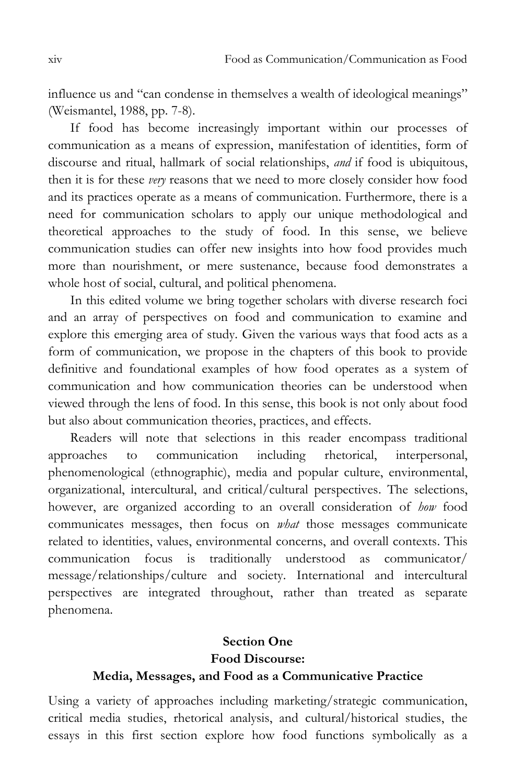influence us and "can condense in themselves a wealth of ideological meanings" (Weismantel, 1988, pp. 7-8).

If food has become increasingly important within our processes of communication as a means of expression, manifestation of identities, form of discourse and ritual, hallmark of social relationships, *and* if food is ubiquitous, then it is for these *very* reasons that we need to more closely consider how food and its practices operate as a means of communication. Furthermore, there is a need for communication scholars to apply our unique methodological and theoretical approaches to the study of food. In this sense, we believe communication studies can offer new insights into how food provides much more than nourishment, or mere sustenance, because food demonstrates a whole host of social, cultural, and political phenomena.

In this edited volume we bring together scholars with diverse research foci and an array of perspectives on food and communication to examine and explore this emerging area of study. Given the various ways that food acts as a form of communication, we propose in the chapters of this book to provide definitive and foundational examples of how food operates as a system of communication and how communication theories can be understood when viewed through the lens of food. In this sense, this book is not only about food but also about communication theories, practices, and effects.

Readers will note that selections in this reader encompass traditional approaches to communication including rhetorical, interpersonal, phenomenological (ethnographic), media and popular culture, environmental, organizational, intercultural, and critical/cultural perspectives. The selections, however, are organized according to an overall consideration of *how* food communicates messages, then focus on *what* those messages communicate related to identities, values, environmental concerns, and overall contexts. This communication focus is traditionally understood as communicator/ message/relationships/culture and society. International and intercultural perspectives are integrated throughout, rather than treated as separate phenomena.

### **Section One Food Discourse: Media, Messages, and Food as a Communicative Practice**

Using a variety of approaches including marketing/strategic communication, critical media studies, rhetorical analysis, and cultural/historical studies, the essays in this first section explore how food functions symbolically as a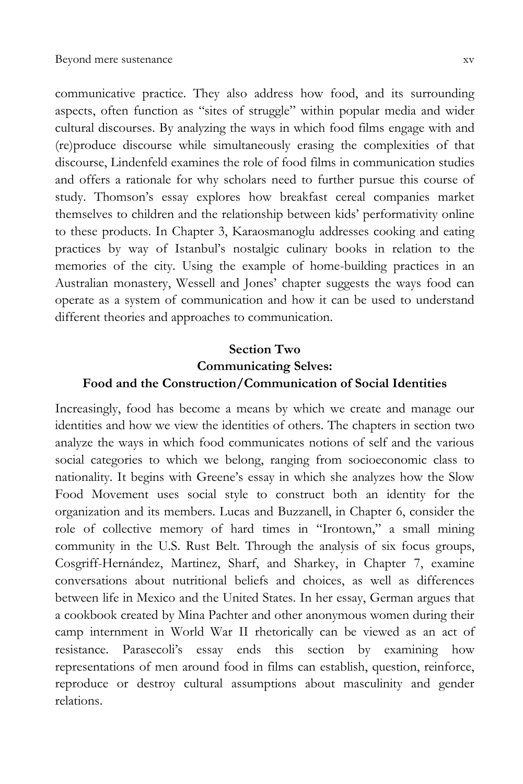communicative practice. They also address how food, and its surrounding aspects, often function as "sites of struggle" within popular media and wider cultural discourses. By analyzing the ways in which food films engage with and (re)produce discourse while simultaneously erasing the complexities of that discourse, Lindenfeld examines the role of food films in communication studies and offers a rationale for why scholars need to further pursue this course of study. Thomson's essay explores how breakfast cereal companies market themselves to children and the relationship between kids' performativity online to these products. In Chapter 3, Karaosmanoglu addresses cooking and eating practices by way of Istanbul's nostalgic culinary books in relation to the memories of the city. Using the example of home-building practices in an Australian monastery, Wessell and Jones' chapter suggests the ways food can operate as a system of communication and how it can be used to understand different theories and approaches to communication.

#### **Section Two Communicating Selves: Food and the Construction/Communication of Social Identities**

Increasingly, food has become a means by which we create and manage our identities and how we view the identities of others. The chapters in section two analyze the ways in which food communicates notions of self and the various social categories to which we belong, ranging from socioeconomic class to nationality. It begins with Greene's essay in which she analyzes how the Slow Food Movement uses social style to construct both an identity for the organization and its members. Lucas and Buzzanell, in Chapter 6, consider the role of collective memory of hard times in "Irontown," a small mining community in the U.S. Rust Belt. Through the analysis of six focus groups, Cosgriff-Hernández, Martinez, Sharf, and Sharkey, in Chapter 7, examine conversations about nutritional beliefs and choices, as well as differences between life in Mexico and the United States. In her essay, German argues that a cookbook created by Mina Pachter and other anonymous women during their camp internment in World War II rhetorically can be viewed as an act of resistance. Parasecoli's essay ends this section by examining how representations of men around food in films can establish, question, reinforce, reproduce or destroy cultural assumptions about masculinity and gender relations.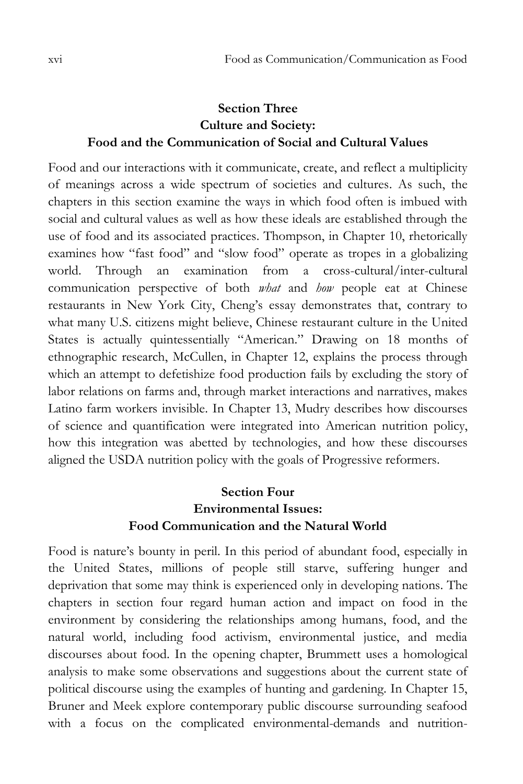### **Section Three Culture and Society: Food and the Communication of Social and Cultural Values**

Food and our interactions with it communicate, create, and reflect a multiplicity of meanings across a wide spectrum of societies and cultures. As such, the chapters in this section examine the ways in which food often is imbued with social and cultural values as well as how these ideals are established through the use of food and its associated practices. Thompson, in Chapter 10, rhetorically examines how "fast food" and "slow food" operate as tropes in a globalizing world. Through an examination from a cross-cultural/inter-cultural communication perspective of both *what* and *how* people eat at Chinese restaurants in New York City, Cheng's essay demonstrates that, contrary to what many U.S. citizens might believe, Chinese restaurant culture in the United States is actually quintessentially "American." Drawing on 18 months of ethnographic research, McCullen, in Chapter 12, explains the process through which an attempt to defetishize food production fails by excluding the story of labor relations on farms and, through market interactions and narratives, makes Latino farm workers invisible. In Chapter 13, Mudry describes how discourses of science and quantification were integrated into American nutrition policy, how this integration was abetted by technologies, and how these discourses aligned the USDA nutrition policy with the goals of Progressive reformers.

## **Section Four Environmental Issues: Food Communication and the Natural World**

Food is nature's bounty in peril. In this period of abundant food, especially in the United States, millions of people still starve, suffering hunger and deprivation that some may think is experienced only in developing nations. The chapters in section four regard human action and impact on food in the environment by considering the relationships among humans, food, and the natural world, including food activism, environmental justice, and media discourses about food. In the opening chapter, Brummett uses a homological analysis to make some observations and suggestions about the current state of political discourse using the examples of hunting and gardening. In Chapter 15, Bruner and Meek explore contemporary public discourse surrounding seafood with a focus on the complicated environmental-demands and nutrition-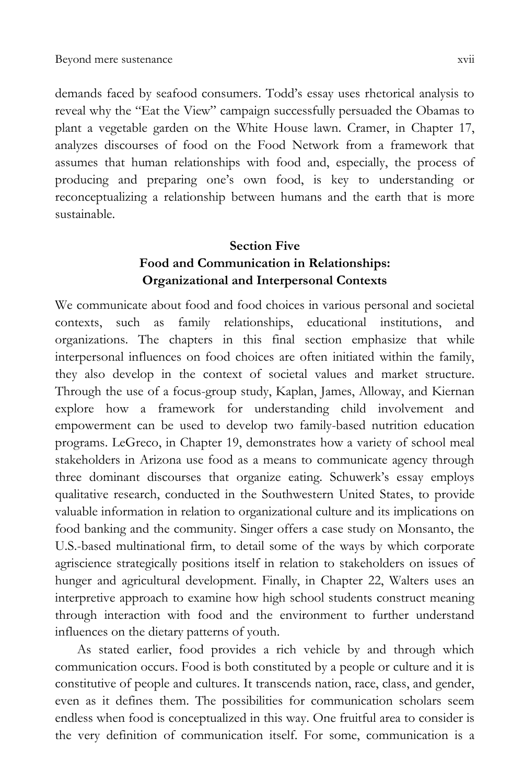demands faced by seafood consumers. Todd's essay uses rhetorical analysis to reveal why the "Eat the View" campaign successfully persuaded the Obamas to plant a vegetable garden on the White House lawn. Cramer, in Chapter 17, analyzes discourses of food on the Food Network from a framework that assumes that human relationships with food and, especially, the process of producing and preparing one's own food, is key to understanding or reconceptualizing a relationship between humans and the earth that is more sustainable.

#### **Section Five Food and Communication in Relationships: Organizational and Interpersonal Contexts**

We communicate about food and food choices in various personal and societal contexts, such as family relationships, educational institutions, and organizations. The chapters in this final section emphasize that while interpersonal influences on food choices are often initiated within the family, they also develop in the context of societal values and market structure. Through the use of a focus-group study, Kaplan, James, Alloway, and Kiernan explore how a framework for understanding child involvement and empowerment can be used to develop two family-based nutrition education programs. LeGreco, in Chapter 19, demonstrates how a variety of school meal stakeholders in Arizona use food as a means to communicate agency through three dominant discourses that organize eating. Schuwerk's essay employs qualitative research, conducted in the Southwestern United States, to provide valuable information in relation to organizational culture and its implications on food banking and the community. Singer offers a case study on Monsanto, the U.S.-based multinational firm, to detail some of the ways by which corporate agriscience strategically positions itself in relation to stakeholders on issues of hunger and agricultural development. Finally, in Chapter 22, Walters uses an interpretive approach to examine how high school students construct meaning through interaction with food and the environment to further understand influences on the dietary patterns of youth.

As stated earlier, food provides a rich vehicle by and through which communication occurs. Food is both constituted by a people or culture and it is constitutive of people and cultures. It transcends nation, race, class, and gender, even as it defines them. The possibilities for communication scholars seem endless when food is conceptualized in this way. One fruitful area to consider is the very definition of communication itself. For some, communication is a